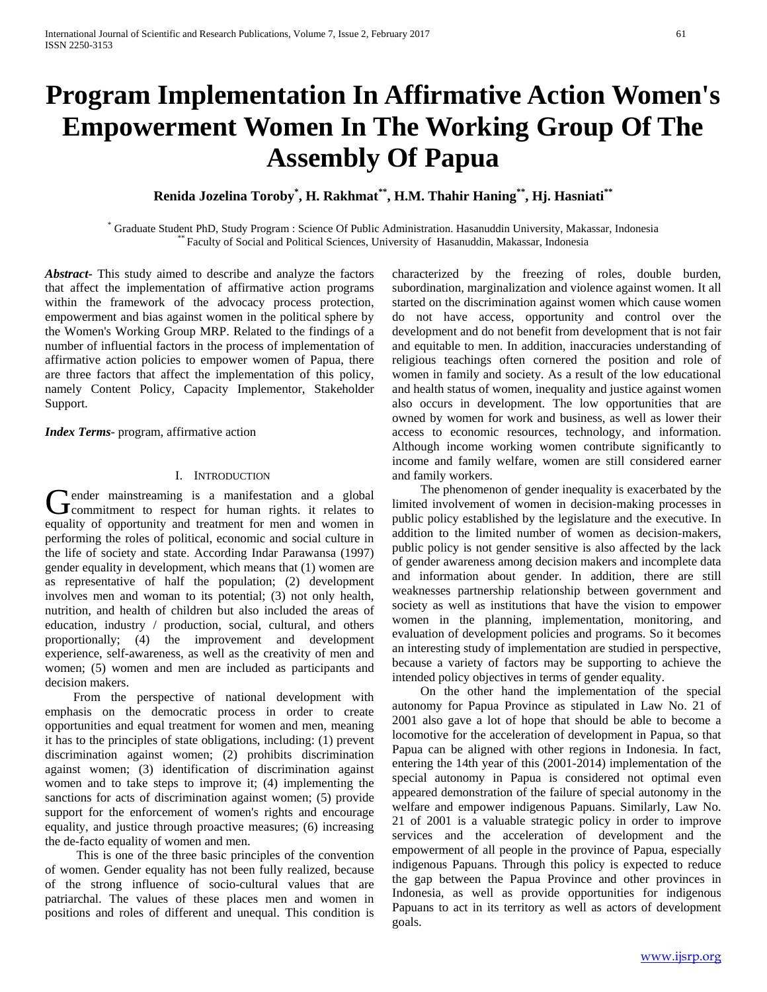# **Program Implementation In Affirmative Action Women's Empowerment Women In The Working Group Of The Assembly Of Papua**

**Renida Jozelina Toroby\* , H. Rakhmat\*\*, H.M. Thahir Haning\*\*, Hj. Hasniati\*\***

\* Graduate Student PhD, Study Program : Science Of Public Administration. Hasanuddin University, Makassar, Indonesia \*\* Faculty of Social and Political Sciences, University of Hasanuddin, Makassar, Indonesia

*Abstract***-** This study aimed to describe and analyze the factors that affect the implementation of affirmative action programs within the framework of the advocacy process protection, empowerment and bias against women in the political sphere by the Women's Working Group MRP. Related to the findings of a number of influential factors in the process of implementation of affirmative action policies to empower women of Papua, there are three factors that affect the implementation of this policy, namely Content Policy, Capacity Implementor, Stakeholder Support.

*Index Terms*- program, affirmative action

#### I. INTRODUCTION

**I** ender mainstreaming is a manifestation and a global Gender mainstreaming is a manifestation and a global commitment to respect for human rights. it relates to equality of opportunity and treatment for men and women in performing the roles of political, economic and social culture in the life of society and state. According Indar Parawansa (1997) gender equality in development, which means that (1) women are as representative of half the population; (2) development involves men and woman to its potential; (3) not only health, nutrition, and health of children but also included the areas of education, industry / production, social, cultural, and others proportionally; (4) the improvement and development experience, self-awareness, as well as the creativity of men and women; (5) women and men are included as participants and decision makers.

 From the perspective of national development with emphasis on the democratic process in order to create opportunities and equal treatment for women and men, meaning it has to the principles of state obligations, including: (1) prevent discrimination against women; (2) prohibits discrimination against women; (3) identification of discrimination against women and to take steps to improve it; (4) implementing the sanctions for acts of discrimination against women; (5) provide support for the enforcement of women's rights and encourage equality, and justice through proactive measures; (6) increasing the de-facto equality of women and men.

 This is one of the three basic principles of the convention of women. Gender equality has not been fully realized, because of the strong influence of socio-cultural values that are patriarchal. The values of these places men and women in positions and roles of different and unequal. This condition is characterized by the freezing of roles, double burden, subordination, marginalization and violence against women. It all started on the discrimination against women which cause women do not have access, opportunity and control over the development and do not benefit from development that is not fair and equitable to men. In addition, inaccuracies understanding of religious teachings often cornered the position and role of women in family and society. As a result of the low educational and health status of women, inequality and justice against women also occurs in development. The low opportunities that are owned by women for work and business, as well as lower their access to economic resources, technology, and information. Although income working women contribute significantly to income and family welfare, women are still considered earner and family workers.

 The phenomenon of gender inequality is exacerbated by the limited involvement of women in decision-making processes in public policy established by the legislature and the executive. In addition to the limited number of women as decision-makers, public policy is not gender sensitive is also affected by the lack of gender awareness among decision makers and incomplete data and information about gender. In addition, there are still weaknesses partnership relationship between government and society as well as institutions that have the vision to empower women in the planning, implementation, monitoring, and evaluation of development policies and programs. So it becomes an interesting study of implementation are studied in perspective, because a variety of factors may be supporting to achieve the intended policy objectives in terms of gender equality.

 On the other hand the implementation of the special autonomy for Papua Province as stipulated in Law No. 21 of 2001 also gave a lot of hope that should be able to become a locomotive for the acceleration of development in Papua, so that Papua can be aligned with other regions in Indonesia. In fact, entering the 14th year of this (2001-2014) implementation of the special autonomy in Papua is considered not optimal even appeared demonstration of the failure of special autonomy in the welfare and empower indigenous Papuans. Similarly, Law No. 21 of 2001 is a valuable strategic policy in order to improve services and the acceleration of development and the empowerment of all people in the province of Papua, especially indigenous Papuans. Through this policy is expected to reduce the gap between the Papua Province and other provinces in Indonesia, as well as provide opportunities for indigenous Papuans to act in its territory as well as actors of development goals.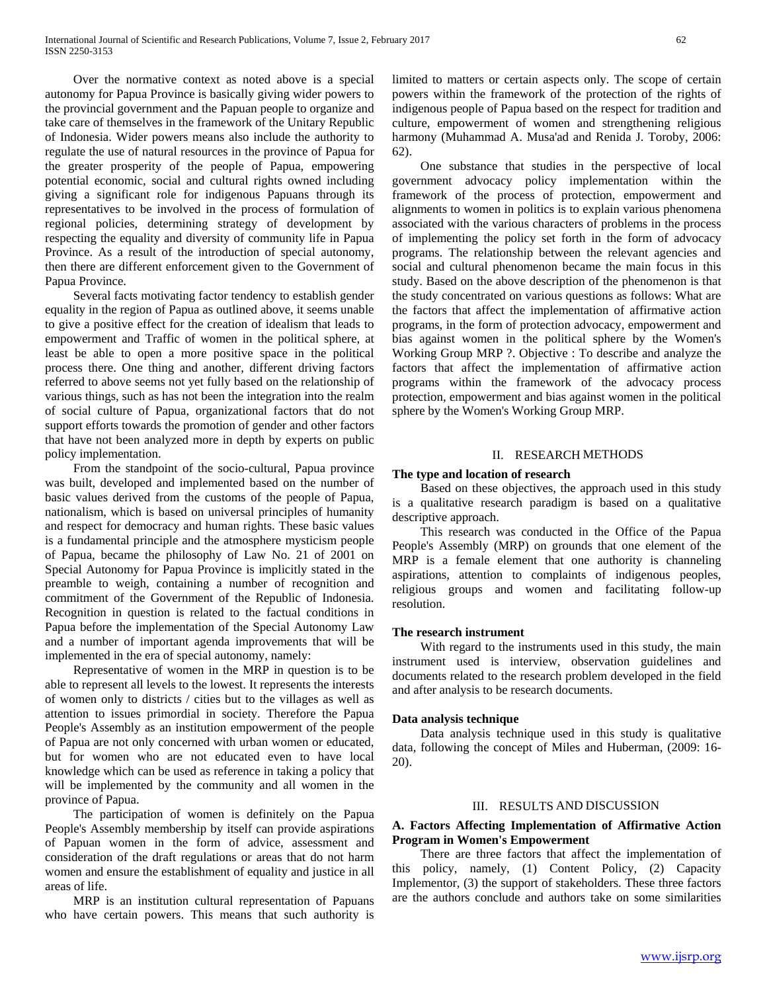Over the normative context as noted above is a special autonomy for Papua Province is basically giving wider powers to the provincial government and the Papuan people to organize and take care of themselves in the framework of the Unitary Republic of Indonesia. Wider powers means also include the authority to regulate the use of natural resources in the province of Papua for the greater prosperity of the people of Papua, empowering potential economic, social and cultural rights owned including giving a significant role for indigenous Papuans through its representatives to be involved in the process of formulation of regional policies, determining strategy of development by respecting the equality and diversity of community life in Papua Province. As a result of the introduction of special autonomy, then there are different enforcement given to the Government of Papua Province.

 Several facts motivating factor tendency to establish gender equality in the region of Papua as outlined above, it seems unable to give a positive effect for the creation of idealism that leads to empowerment and Traffic of women in the political sphere, at least be able to open a more positive space in the political process there. One thing and another, different driving factors referred to above seems not yet fully based on the relationship of various things, such as has not been the integration into the realm of social culture of Papua, organizational factors that do not support efforts towards the promotion of gender and other factors that have not been analyzed more in depth by experts on public policy implementation.

 From the standpoint of the socio-cultural, Papua province was built, developed and implemented based on the number of basic values derived from the customs of the people of Papua, nationalism, which is based on universal principles of humanity and respect for democracy and human rights. These basic values is a fundamental principle and the atmosphere mysticism people of Papua, became the philosophy of Law No. 21 of 2001 on Special Autonomy for Papua Province is implicitly stated in the preamble to weigh, containing a number of recognition and commitment of the Government of the Republic of Indonesia. Recognition in question is related to the factual conditions in Papua before the implementation of the Special Autonomy Law and a number of important agenda improvements that will be implemented in the era of special autonomy, namely:

 Representative of women in the MRP in question is to be able to represent all levels to the lowest. It represents the interests of women only to districts / cities but to the villages as well as attention to issues primordial in society. Therefore the Papua People's Assembly as an institution empowerment of the people of Papua are not only concerned with urban women or educated, but for women who are not educated even to have local knowledge which can be used as reference in taking a policy that will be implemented by the community and all women in the province of Papua.

 The participation of women is definitely on the Papua People's Assembly membership by itself can provide aspirations of Papuan women in the form of advice, assessment and consideration of the draft regulations or areas that do not harm women and ensure the establishment of equality and justice in all areas of life.

 MRP is an institution cultural representation of Papuans who have certain powers. This means that such authority is

limited to matters or certain aspects only. The scope of certain powers within the framework of the protection of the rights of indigenous people of Papua based on the respect for tradition and culture, empowerment of women and strengthening religious harmony (Muhammad A. Musa'ad and Renida J. Toroby, 2006: 62).

 One substance that studies in the perspective of local government advocacy policy implementation within the framework of the process of protection, empowerment and alignments to women in politics is to explain various phenomena associated with the various characters of problems in the process of implementing the policy set forth in the form of advocacy programs. The relationship between the relevant agencies and social and cultural phenomenon became the main focus in this study. Based on the above description of the phenomenon is that the study concentrated on various questions as follows: What are the factors that affect the implementation of affirmative action programs, in the form of protection advocacy, empowerment and bias against women in the political sphere by the Women's Working Group MRP ?. Objective : To describe and analyze the factors that affect the implementation of affirmative action programs within the framework of the advocacy process protection, empowerment and bias against women in the political sphere by the Women's Working Group MRP.

#### II. RESEARCH METHODS

#### **The type and location of research**

 Based on these objectives, the approach used in this study is a qualitative research paradigm is based on a qualitative descriptive approach.

 This research was conducted in the Office of the Papua People's Assembly (MRP) on grounds that one element of the MRP is a female element that one authority is channeling aspirations, attention to complaints of indigenous peoples, religious groups and women and facilitating follow-up resolution.

#### **The research instrument**

 With regard to the instruments used in this study, the main instrument used is interview, observation guidelines and documents related to the research problem developed in the field and after analysis to be research documents.

#### **Data analysis technique**

 Data analysis technique used in this study is qualitative data, following the concept of Miles and Huberman, (2009: 16- 20).

# III. RESULTS AND DISCUSSION

# **A. Factors Affecting Implementation of Affirmative Action Program in Women's Empowerment**

 There are three factors that affect the implementation of this policy, namely, (1) Content Policy, (2) Capacity Implementor, (3) the support of stakeholders. These three factors are the authors conclude and authors take on some similarities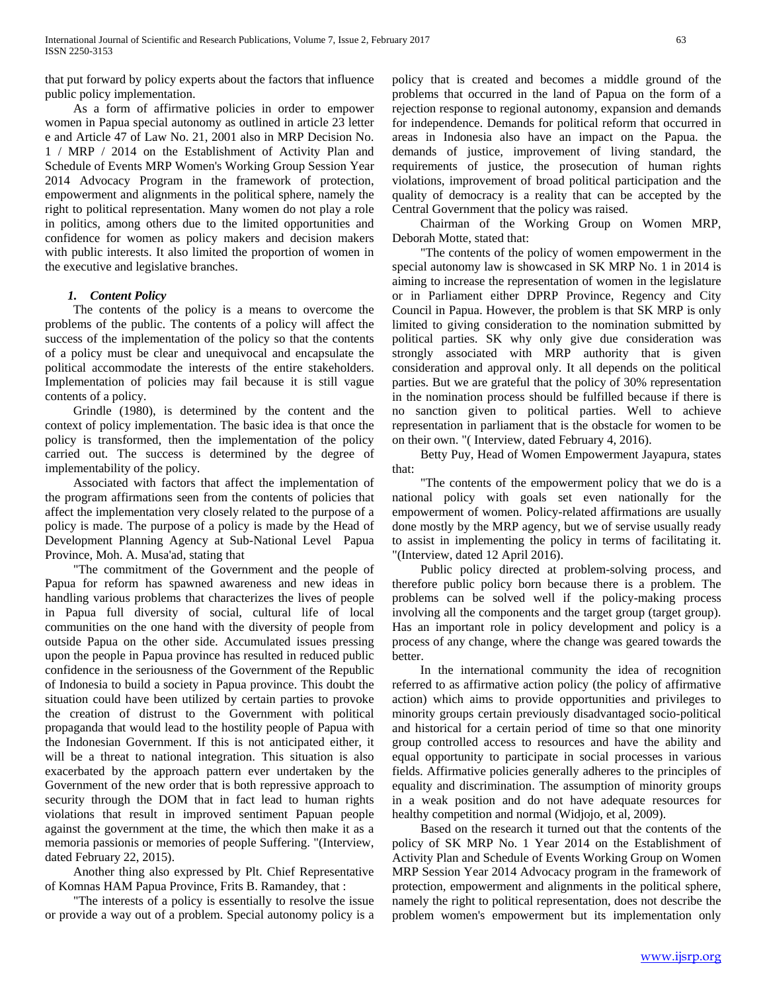that put forward by policy experts about the factors that influence public policy implementation.

 As a form of affirmative policies in order to empower women in Papua special autonomy as outlined in article 23 letter e and Article 47 of Law No. 21, 2001 also in MRP Decision No. 1 / MRP / 2014 on the Establishment of Activity Plan and Schedule of Events MRP Women's Working Group Session Year 2014 Advocacy Program in the framework of protection, empowerment and alignments in the political sphere, namely the right to political representation. Many women do not play a role in politics, among others due to the limited opportunities and confidence for women as policy makers and decision makers with public interests. It also limited the proportion of women in the executive and legislative branches.

# *1. Content Policy*

 The contents of the policy is a means to overcome the problems of the public. The contents of a policy will affect the success of the implementation of the policy so that the contents of a policy must be clear and unequivocal and encapsulate the political accommodate the interests of the entire stakeholders. Implementation of policies may fail because it is still vague contents of a policy.

 Grindle (1980), is determined by the content and the context of policy implementation. The basic idea is that once the policy is transformed, then the implementation of the policy carried out. The success is determined by the degree of implementability of the policy.

 Associated with factors that affect the implementation of the program affirmations seen from the contents of policies that affect the implementation very closely related to the purpose of a policy is made. The purpose of a policy is made by the Head of Development Planning Agency at Sub-National Level Papua Province, Moh. A. Musa'ad, stating that

 "The commitment of the Government and the people of Papua for reform has spawned awareness and new ideas in handling various problems that characterizes the lives of people in Papua full diversity of social, cultural life of local communities on the one hand with the diversity of people from outside Papua on the other side. Accumulated issues pressing upon the people in Papua province has resulted in reduced public confidence in the seriousness of the Government of the Republic of Indonesia to build a society in Papua province. This doubt the situation could have been utilized by certain parties to provoke the creation of distrust to the Government with political propaganda that would lead to the hostility people of Papua with the Indonesian Government. If this is not anticipated either, it will be a threat to national integration. This situation is also exacerbated by the approach pattern ever undertaken by the Government of the new order that is both repressive approach to security through the DOM that in fact lead to human rights violations that result in improved sentiment Papuan people against the government at the time, the which then make it as a memoria passionis or memories of people Suffering. "(Interview, dated February 22, 2015).

 Another thing also expressed by Plt. Chief Representative of Komnas HAM Papua Province, Frits B. Ramandey, that :

 "The interests of a policy is essentially to resolve the issue or provide a way out of a problem. Special autonomy policy is a

policy that is created and becomes a middle ground of the problems that occurred in the land of Papua on the form of a rejection response to regional autonomy, expansion and demands for independence. Demands for political reform that occurred in areas in Indonesia also have an impact on the Papua. the demands of justice, improvement of living standard, the requirements of justice, the prosecution of human rights violations, improvement of broad political participation and the quality of democracy is a reality that can be accepted by the Central Government that the policy was raised.

 Chairman of the Working Group on Women MRP, Deborah Motte, stated that:

 "The contents of the policy of women empowerment in the special autonomy law is showcased in SK MRP No. 1 in 2014 is aiming to increase the representation of women in the legislature or in Parliament either DPRP Province, Regency and City Council in Papua. However, the problem is that SK MRP is only limited to giving consideration to the nomination submitted by political parties. SK why only give due consideration was strongly associated with MRP authority that is given consideration and approval only. It all depends on the political parties. But we are grateful that the policy of 30% representation in the nomination process should be fulfilled because if there is no sanction given to political parties. Well to achieve representation in parliament that is the obstacle for women to be on their own. "( Interview, dated February 4, 2016).

 Betty Puy, Head of Women Empowerment Jayapura, states that:

 "The contents of the empowerment policy that we do is a national policy with goals set even nationally for the empowerment of women. Policy-related affirmations are usually done mostly by the MRP agency, but we of servise usually ready to assist in implementing the policy in terms of facilitating it. "(Interview, dated 12 April 2016).

 Public policy directed at problem-solving process, and therefore public policy born because there is a problem. The problems can be solved well if the policy-making process involving all the components and the target group (target group). Has an important role in policy development and policy is a process of any change, where the change was geared towards the better.

 In the international community the idea of recognition referred to as affirmative action policy (the policy of affirmative action) which aims to provide opportunities and privileges to minority groups certain previously disadvantaged socio-political and historical for a certain period of time so that one minority group controlled access to resources and have the ability and equal opportunity to participate in social processes in various fields. Affirmative policies generally adheres to the principles of equality and discrimination. The assumption of minority groups in a weak position and do not have adequate resources for healthy competition and normal (Widjojo, et al, 2009).

 Based on the research it turned out that the contents of the policy of SK MRP No. 1 Year 2014 on the Establishment of Activity Plan and Schedule of Events Working Group on Women MRP Session Year 2014 Advocacy program in the framework of protection, empowerment and alignments in the political sphere, namely the right to political representation, does not describe the problem women's empowerment but its implementation only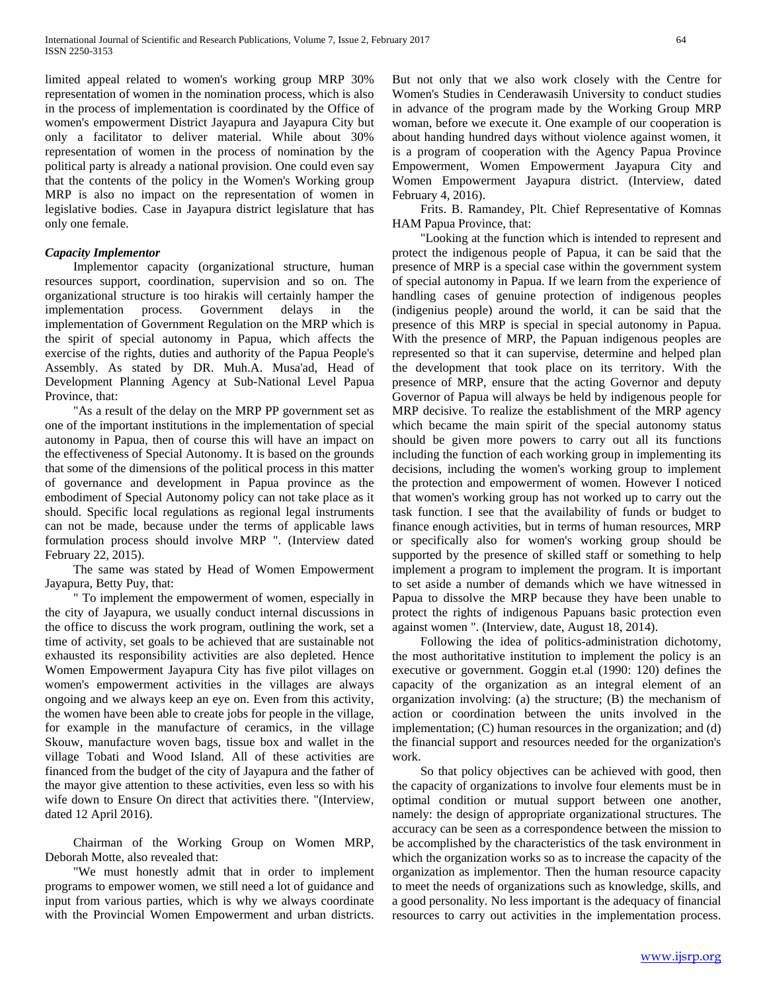limited appeal related to women's working group MRP 30% representation of women in the nomination process, which is also in the process of implementation is coordinated by the Office of women's empowerment District Jayapura and Jayapura City but only a facilitator to deliver material. While about 30% representation of women in the process of nomination by the political party is already a national provision. One could even say that the contents of the policy in the Women's Working group MRP is also no impact on the representation of women in legislative bodies. Case in Jayapura district legislature that has only one female.

### *Capacity Implementor*

 Implementor capacity (organizational structure, human resources support, coordination, supervision and so on. The organizational structure is too hirakis will certainly hamper the implementation process. Government delays in the implementation of Government Regulation on the MRP which is the spirit of special autonomy in Papua, which affects the exercise of the rights, duties and authority of the Papua People's Assembly. As stated by DR. Muh.A. Musa'ad, Head of Development Planning Agency at Sub-National Level Papua Province, that:

 "As a result of the delay on the MRP PP government set as one of the important institutions in the implementation of special autonomy in Papua, then of course this will have an impact on the effectiveness of Special Autonomy. It is based on the grounds that some of the dimensions of the political process in this matter of governance and development in Papua province as the embodiment of Special Autonomy policy can not take place as it should. Specific local regulations as regional legal instruments can not be made, because under the terms of applicable laws formulation process should involve MRP ". (Interview dated February 22, 2015).

 The same was stated by Head of Women Empowerment Jayapura, Betty Puy, that:

 " To implement the empowerment of women, especially in the city of Jayapura, we usually conduct internal discussions in the office to discuss the work program, outlining the work, set a time of activity, set goals to be achieved that are sustainable not exhausted its responsibility activities are also depleted. Hence Women Empowerment Jayapura City has five pilot villages on women's empowerment activities in the villages are always ongoing and we always keep an eye on. Even from this activity, the women have been able to create jobs for people in the village, for example in the manufacture of ceramics, in the village Skouw, manufacture woven bags, tissue box and wallet in the village Tobati and Wood Island. All of these activities are financed from the budget of the city of Jayapura and the father of the mayor give attention to these activities, even less so with his wife down to Ensure On direct that activities there. "(Interview, dated 12 April 2016).

 Chairman of the Working Group on Women MRP, Deborah Motte, also revealed that:

 "We must honestly admit that in order to implement programs to empower women, we still need a lot of guidance and input from various parties, which is why we always coordinate with the Provincial Women Empowerment and urban districts.

But not only that we also work closely with the Centre for Women's Studies in Cenderawasih University to conduct studies in advance of the program made by the Working Group MRP woman, before we execute it. One example of our cooperation is about handing hundred days without violence against women, it is a program of cooperation with the Agency Papua Province Empowerment, Women Empowerment Jayapura City and Women Empowerment Jayapura district. (Interview, dated February 4, 2016).

 Frits. B. Ramandey, Plt. Chief Representative of Komnas HAM Papua Province, that:

 "Looking at the function which is intended to represent and protect the indigenous people of Papua, it can be said that the presence of MRP is a special case within the government system of special autonomy in Papua. If we learn from the experience of handling cases of genuine protection of indigenous peoples (indigenius people) around the world, it can be said that the presence of this MRP is special in special autonomy in Papua. With the presence of MRP, the Papuan indigenous peoples are represented so that it can supervise, determine and helped plan the development that took place on its territory. With the presence of MRP, ensure that the acting Governor and deputy Governor of Papua will always be held by indigenous people for MRP decisive. To realize the establishment of the MRP agency which became the main spirit of the special autonomy status should be given more powers to carry out all its functions including the function of each working group in implementing its decisions, including the women's working group to implement the protection and empowerment of women. However I noticed that women's working group has not worked up to carry out the task function. I see that the availability of funds or budget to finance enough activities, but in terms of human resources, MRP or specifically also for women's working group should be supported by the presence of skilled staff or something to help implement a program to implement the program. It is important to set aside a number of demands which we have witnessed in Papua to dissolve the MRP because they have been unable to protect the rights of indigenous Papuans basic protection even against women ". (Interview, date, August 18, 2014).

 Following the idea of politics-administration dichotomy, the most authoritative institution to implement the policy is an executive or government. Goggin et.al (1990: 120) defines the capacity of the organization as an integral element of an organization involving: (a) the structure; (B) the mechanism of action or coordination between the units involved in the implementation; (C) human resources in the organization; and (d) the financial support and resources needed for the organization's work.

 So that policy objectives can be achieved with good, then the capacity of organizations to involve four elements must be in optimal condition or mutual support between one another, namely: the design of appropriate organizational structures. The accuracy can be seen as a correspondence between the mission to be accomplished by the characteristics of the task environment in which the organization works so as to increase the capacity of the organization as implementor. Then the human resource capacity to meet the needs of organizations such as knowledge, skills, and a good personality. No less important is the adequacy of financial resources to carry out activities in the implementation process.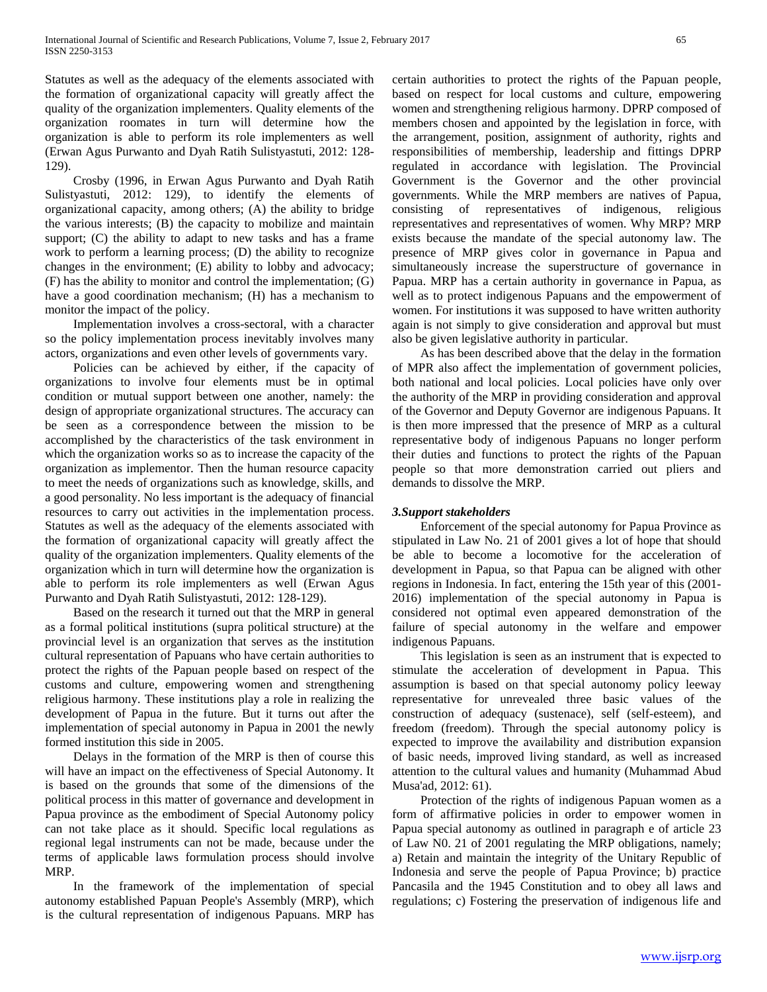Statutes as well as the adequacy of the elements associated with the formation of organizational capacity will greatly affect the quality of the organization implementers. Quality elements of the organization roomates in turn will determine how the organization is able to perform its role implementers as well (Erwan Agus Purwanto and Dyah Ratih Sulistyastuti, 2012: 128- 129).

 Crosby (1996, in Erwan Agus Purwanto and Dyah Ratih Sulistyastuti, 2012: 129), to identify the elements of organizational capacity, among others; (A) the ability to bridge the various interests; (B) the capacity to mobilize and maintain support; (C) the ability to adapt to new tasks and has a frame work to perform a learning process; (D) the ability to recognize changes in the environment; (E) ability to lobby and advocacy; (F) has the ability to monitor and control the implementation; (G) have a good coordination mechanism; (H) has a mechanism to monitor the impact of the policy.

 Implementation involves a cross-sectoral, with a character so the policy implementation process inevitably involves many actors, organizations and even other levels of governments vary.

 Policies can be achieved by either, if the capacity of organizations to involve four elements must be in optimal condition or mutual support between one another, namely: the design of appropriate organizational structures. The accuracy can be seen as a correspondence between the mission to be accomplished by the characteristics of the task environment in which the organization works so as to increase the capacity of the organization as implementor. Then the human resource capacity to meet the needs of organizations such as knowledge, skills, and a good personality. No less important is the adequacy of financial resources to carry out activities in the implementation process. Statutes as well as the adequacy of the elements associated with the formation of organizational capacity will greatly affect the quality of the organization implementers. Quality elements of the organization which in turn will determine how the organization is able to perform its role implementers as well (Erwan Agus Purwanto and Dyah Ratih Sulistyastuti, 2012: 128-129).

 Based on the research it turned out that the MRP in general as a formal political institutions (supra political structure) at the provincial level is an organization that serves as the institution cultural representation of Papuans who have certain authorities to protect the rights of the Papuan people based on respect of the customs and culture, empowering women and strengthening religious harmony. These institutions play a role in realizing the development of Papua in the future. But it turns out after the implementation of special autonomy in Papua in 2001 the newly formed institution this side in 2005.

 Delays in the formation of the MRP is then of course this will have an impact on the effectiveness of Special Autonomy. It is based on the grounds that some of the dimensions of the political process in this matter of governance and development in Papua province as the embodiment of Special Autonomy policy can not take place as it should. Specific local regulations as regional legal instruments can not be made, because under the terms of applicable laws formulation process should involve MRP.

 In the framework of the implementation of special autonomy established Papuan People's Assembly (MRP), which is the cultural representation of indigenous Papuans. MRP has

certain authorities to protect the rights of the Papuan people, based on respect for local customs and culture, empowering women and strengthening religious harmony. DPRP composed of members chosen and appointed by the legislation in force, with the arrangement, position, assignment of authority, rights and responsibilities of membership, leadership and fittings DPRP regulated in accordance with legislation. The Provincial Government is the Governor and the other provincial governments. While the MRP members are natives of Papua, consisting of representatives of indigenous, religious representatives and representatives of women. Why MRP? MRP exists because the mandate of the special autonomy law. The presence of MRP gives color in governance in Papua and simultaneously increase the superstructure of governance in Papua. MRP has a certain authority in governance in Papua, as well as to protect indigenous Papuans and the empowerment of women. For institutions it was supposed to have written authority again is not simply to give consideration and approval but must also be given legislative authority in particular.

 As has been described above that the delay in the formation of MPR also affect the implementation of government policies, both national and local policies. Local policies have only over the authority of the MRP in providing consideration and approval of the Governor and Deputy Governor are indigenous Papuans. It is then more impressed that the presence of MRP as a cultural representative body of indigenous Papuans no longer perform their duties and functions to protect the rights of the Papuan people so that more demonstration carried out pliers and demands to dissolve the MRP.

# *3.Support stakeholders*

 Enforcement of the special autonomy for Papua Province as stipulated in Law No. 21 of 2001 gives a lot of hope that should be able to become a locomotive for the acceleration of development in Papua, so that Papua can be aligned with other regions in Indonesia. In fact, entering the 15th year of this (2001- 2016) implementation of the special autonomy in Papua is considered not optimal even appeared demonstration of the failure of special autonomy in the welfare and empower indigenous Papuans.

 This legislation is seen as an instrument that is expected to stimulate the acceleration of development in Papua. This assumption is based on that special autonomy policy leeway representative for unrevealed three basic values of the construction of adequacy (sustenace), self (self-esteem), and freedom (freedom). Through the special autonomy policy is expected to improve the availability and distribution expansion of basic needs, improved living standard, as well as increased attention to the cultural values and humanity (Muhammad Abud Musa'ad, 2012: 61).

 Protection of the rights of indigenous Papuan women as a form of affirmative policies in order to empower women in Papua special autonomy as outlined in paragraph e of article 23 of Law N0. 21 of 2001 regulating the MRP obligations, namely; a) Retain and maintain the integrity of the Unitary Republic of Indonesia and serve the people of Papua Province; b) practice Pancasila and the 1945 Constitution and to obey all laws and regulations; c) Fostering the preservation of indigenous life and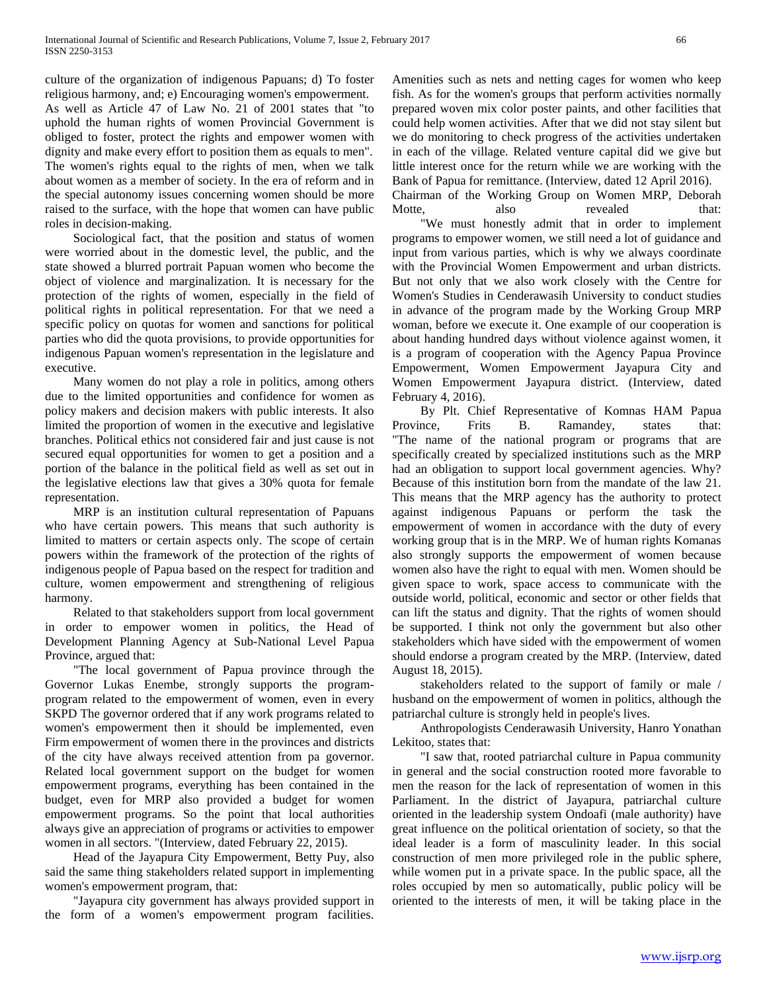culture of the organization of indigenous Papuans; d) To foster religious harmony, and; e) Encouraging women's empowerment. As well as Article 47 of Law No. 21 of 2001 states that "to uphold the human rights of women Provincial Government is obliged to foster, protect the rights and empower women with dignity and make every effort to position them as equals to men". The women's rights equal to the rights of men, when we talk about women as a member of society. In the era of reform and in the special autonomy issues concerning women should be more raised to the surface, with the hope that women can have public roles in decision-making.

 Sociological fact, that the position and status of women were worried about in the domestic level, the public, and the state showed a blurred portrait Papuan women who become the object of violence and marginalization. It is necessary for the protection of the rights of women, especially in the field of political rights in political representation. For that we need a specific policy on quotas for women and sanctions for political parties who did the quota provisions, to provide opportunities for indigenous Papuan women's representation in the legislature and executive.

 Many women do not play a role in politics, among others due to the limited opportunities and confidence for women as policy makers and decision makers with public interests. It also limited the proportion of women in the executive and legislative branches. Political ethics not considered fair and just cause is not secured equal opportunities for women to get a position and a portion of the balance in the political field as well as set out in the legislative elections law that gives a 30% quota for female representation.

 MRP is an institution cultural representation of Papuans who have certain powers. This means that such authority is limited to matters or certain aspects only. The scope of certain powers within the framework of the protection of the rights of indigenous people of Papua based on the respect for tradition and culture, women empowerment and strengthening of religious harmony.

 Related to that stakeholders support from local government in order to empower women in politics, the Head of Development Planning Agency at Sub-National Level Papua Province, argued that:

 "The local government of Papua province through the Governor Lukas Enembe, strongly supports the programprogram related to the empowerment of women, even in every SKPD The governor ordered that if any work programs related to women's empowerment then it should be implemented, even Firm empowerment of women there in the provinces and districts of the city have always received attention from pa governor. Related local government support on the budget for women empowerment programs, everything has been contained in the budget, even for MRP also provided a budget for women empowerment programs. So the point that local authorities always give an appreciation of programs or activities to empower women in all sectors. "(Interview, dated February 22, 2015).

 Head of the Jayapura City Empowerment, Betty Puy, also said the same thing stakeholders related support in implementing women's empowerment program, that:

 "Jayapura city government has always provided support in the form of a women's empowerment program facilities.

Amenities such as nets and netting cages for women who keep fish. As for the women's groups that perform activities normally prepared woven mix color poster paints, and other facilities that could help women activities. After that we did not stay silent but we do monitoring to check progress of the activities undertaken in each of the village. Related venture capital did we give but little interest once for the return while we are working with the Bank of Papua for remittance. (Interview, dated 12 April 2016).

Chairman of the Working Group on Women MRP, Deborah Motte, also revealed that: "We must honestly admit that in order to implement programs to empower women, we still need a lot of guidance and input from various parties, which is why we always coordinate with the Provincial Women Empowerment and urban districts. But not only that we also work closely with the Centre for Women's Studies in Cenderawasih University to conduct studies in advance of the program made by the Working Group MRP woman, before we execute it. One example of our cooperation is about handing hundred days without violence against women, it is a program of cooperation with the Agency Papua Province Empowerment, Women Empowerment Jayapura City and Women Empowerment Jayapura district. (Interview, dated February 4, 2016).

 By Plt. Chief Representative of Komnas HAM Papua Province, Frits B. Ramandey, states that: "The name of the national program or programs that are specifically created by specialized institutions such as the MRP had an obligation to support local government agencies. Why? Because of this institution born from the mandate of the law 21. This means that the MRP agency has the authority to protect against indigenous Papuans or perform the task the empowerment of women in accordance with the duty of every working group that is in the MRP. We of human rights Komanas also strongly supports the empowerment of women because women also have the right to equal with men. Women should be given space to work, space access to communicate with the outside world, political, economic and sector or other fields that can lift the status and dignity. That the rights of women should be supported. I think not only the government but also other stakeholders which have sided with the empowerment of women should endorse a program created by the MRP. (Interview, dated August 18, 2015).

 stakeholders related to the support of family or male / husband on the empowerment of women in politics, although the patriarchal culture is strongly held in people's lives.

 Anthropologists Cenderawasih University, Hanro Yonathan Lekitoo, states that:

 "I saw that, rooted patriarchal culture in Papua community in general and the social construction rooted more favorable to men the reason for the lack of representation of women in this Parliament. In the district of Jayapura, patriarchal culture oriented in the leadership system Ondoafi (male authority) have great influence on the political orientation of society, so that the ideal leader is a form of masculinity leader. In this social construction of men more privileged role in the public sphere, while women put in a private space. In the public space, all the roles occupied by men so automatically, public policy will be oriented to the interests of men, it will be taking place in the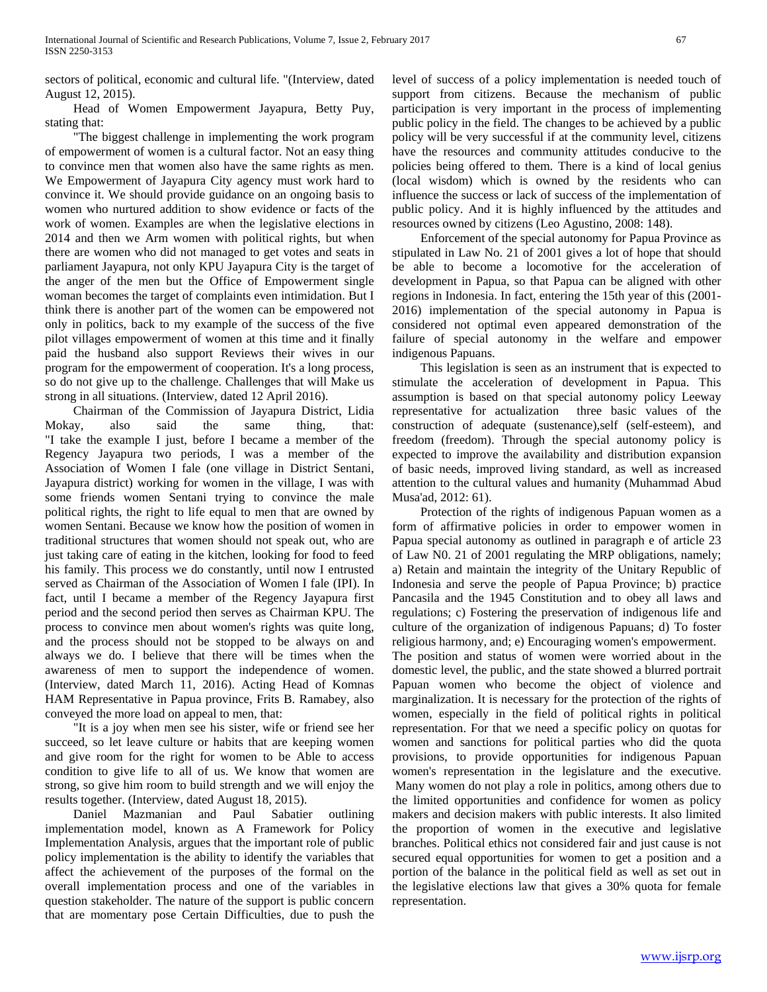sectors of political, economic and cultural life. "(Interview, dated August 12, 2015).

 Head of Women Empowerment Jayapura, Betty Puy, stating that:

 "The biggest challenge in implementing the work program of empowerment of women is a cultural factor. Not an easy thing to convince men that women also have the same rights as men. We Empowerment of Jayapura City agency must work hard to convince it. We should provide guidance on an ongoing basis to women who nurtured addition to show evidence or facts of the work of women. Examples are when the legislative elections in 2014 and then we Arm women with political rights, but when there are women who did not managed to get votes and seats in parliament Jayapura, not only KPU Jayapura City is the target of the anger of the men but the Office of Empowerment single woman becomes the target of complaints even intimidation. But I think there is another part of the women can be empowered not only in politics, back to my example of the success of the five pilot villages empowerment of women at this time and it finally paid the husband also support Reviews their wives in our program for the empowerment of cooperation. It's a long process, so do not give up to the challenge. Challenges that will Make us strong in all situations. (Interview, dated 12 April 2016).

 Chairman of the Commission of Jayapura District, Lidia Mokay, also said the same thing, that: "I take the example I just, before I became a member of the Regency Jayapura two periods, I was a member of the Association of Women I fale (one village in District Sentani, Jayapura district) working for women in the village, I was with some friends women Sentani trying to convince the male political rights, the right to life equal to men that are owned by women Sentani. Because we know how the position of women in traditional structures that women should not speak out, who are just taking care of eating in the kitchen, looking for food to feed his family. This process we do constantly, until now I entrusted served as Chairman of the Association of Women I fale (IPI). In fact, until I became a member of the Regency Jayapura first period and the second period then serves as Chairman KPU. The process to convince men about women's rights was quite long, and the process should not be stopped to be always on and always we do. I believe that there will be times when the awareness of men to support the independence of women. (Interview, dated March 11, 2016). Acting Head of Komnas HAM Representative in Papua province, Frits B. Ramabey, also conveyed the more load on appeal to men, that:

 "It is a joy when men see his sister, wife or friend see her succeed, so let leave culture or habits that are keeping women and give room for the right for women to be Able to access condition to give life to all of us. We know that women are strong, so give him room to build strength and we will enjoy the results together. (Interview, dated August 18, 2015).

 Daniel Mazmanian and Paul Sabatier outlining implementation model, known as A Framework for Policy Implementation Analysis, argues that the important role of public policy implementation is the ability to identify the variables that affect the achievement of the purposes of the formal on the overall implementation process and one of the variables in question stakeholder. The nature of the support is public concern that are momentary pose Certain Difficulties, due to push the

level of success of a policy implementation is needed touch of support from citizens. Because the mechanism of public participation is very important in the process of implementing public policy in the field. The changes to be achieved by a public policy will be very successful if at the community level, citizens have the resources and community attitudes conducive to the policies being offered to them. There is a kind of local genius (local wisdom) which is owned by the residents who can influence the success or lack of success of the implementation of public policy. And it is highly influenced by the attitudes and resources owned by citizens (Leo Agustino, 2008: 148).

 Enforcement of the special autonomy for Papua Province as stipulated in Law No. 21 of 2001 gives a lot of hope that should be able to become a locomotive for the acceleration of development in Papua, so that Papua can be aligned with other regions in Indonesia. In fact, entering the 15th year of this (2001- 2016) implementation of the special autonomy in Papua is considered not optimal even appeared demonstration of the failure of special autonomy in the welfare and empower indigenous Papuans.

 This legislation is seen as an instrument that is expected to stimulate the acceleration of development in Papua. This assumption is based on that special autonomy policy Leeway representative for actualization three basic values of the construction of adequate (sustenance),self (self-esteem), and freedom (freedom). Through the special autonomy policy is expected to improve the availability and distribution expansion of basic needs, improved living standard, as well as increased attention to the cultural values and humanity (Muhammad Abud Musa'ad, 2012: 61).

 Protection of the rights of indigenous Papuan women as a form of affirmative policies in order to empower women in Papua special autonomy as outlined in paragraph e of article 23 of Law N0. 21 of 2001 regulating the MRP obligations, namely; a) Retain and maintain the integrity of the Unitary Republic of Indonesia and serve the people of Papua Province; b) practice Pancasila and the 1945 Constitution and to obey all laws and regulations; c) Fostering the preservation of indigenous life and culture of the organization of indigenous Papuans; d) To foster religious harmony, and; e) Encouraging women's empowerment. The position and status of women were worried about in the domestic level, the public, and the state showed a blurred portrait Papuan women who become the object of violence and marginalization. It is necessary for the protection of the rights of women, especially in the field of political rights in political representation. For that we need a specific policy on quotas for women and sanctions for political parties who did the quota provisions, to provide opportunities for indigenous Papuan women's representation in the legislature and the executive. Many women do not play a role in politics, among others due to the limited opportunities and confidence for women as policy makers and decision makers with public interests. It also limited the proportion of women in the executive and legislative branches. Political ethics not considered fair and just cause is not secured equal opportunities for women to get a position and a portion of the balance in the political field as well as set out in the legislative elections law that gives a 30% quota for female representation.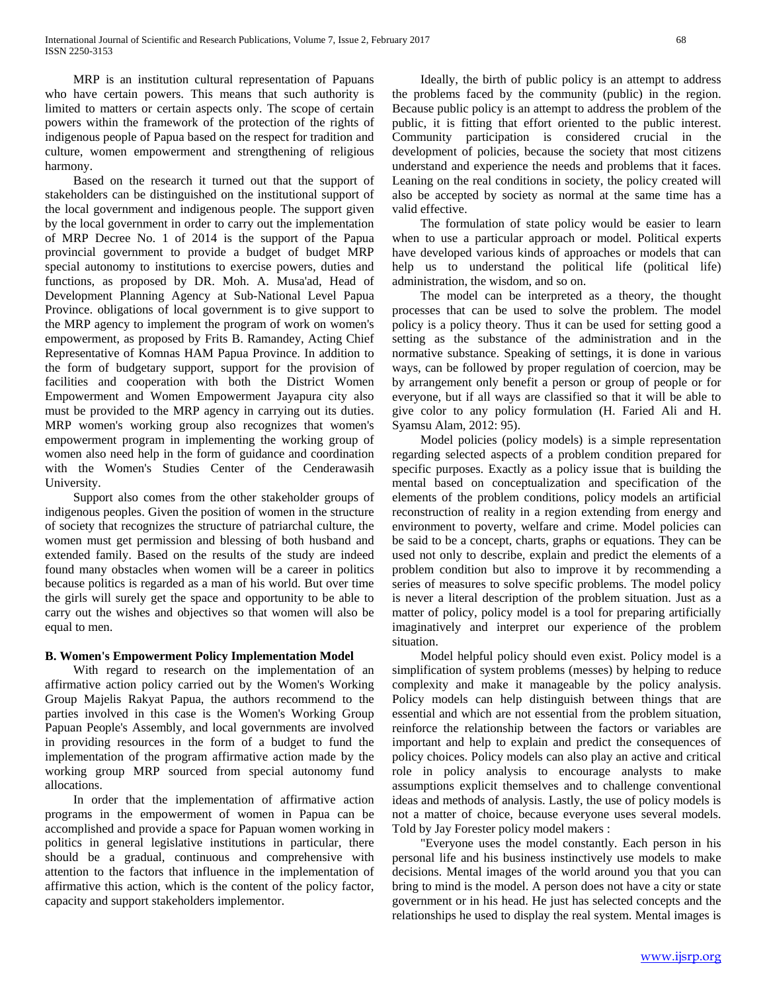MRP is an institution cultural representation of Papuans who have certain powers. This means that such authority is limited to matters or certain aspects only. The scope of certain powers within the framework of the protection of the rights of indigenous people of Papua based on the respect for tradition and culture, women empowerment and strengthening of religious harmony.

 Based on the research it turned out that the support of stakeholders can be distinguished on the institutional support of the local government and indigenous people. The support given by the local government in order to carry out the implementation of MRP Decree No. 1 of 2014 is the support of the Papua provincial government to provide a budget of budget MRP special autonomy to institutions to exercise powers, duties and functions, as proposed by DR. Moh. A. Musa'ad, Head of Development Planning Agency at Sub-National Level Papua Province. obligations of local government is to give support to the MRP agency to implement the program of work on women's empowerment, as proposed by Frits B. Ramandey, Acting Chief Representative of Komnas HAM Papua Province. In addition to the form of budgetary support, support for the provision of facilities and cooperation with both the District Women Empowerment and Women Empowerment Jayapura city also must be provided to the MRP agency in carrying out its duties. MRP women's working group also recognizes that women's empowerment program in implementing the working group of women also need help in the form of guidance and coordination with the Women's Studies Center of the Cenderawasih University.

 Support also comes from the other stakeholder groups of indigenous peoples. Given the position of women in the structure of society that recognizes the structure of patriarchal culture, the women must get permission and blessing of both husband and extended family. Based on the results of the study are indeed found many obstacles when women will be a career in politics because politics is regarded as a man of his world. But over time the girls will surely get the space and opportunity to be able to carry out the wishes and objectives so that women will also be equal to men.

# **B. Women's Empowerment Policy Implementation Model**

 With regard to research on the implementation of an affirmative action policy carried out by the Women's Working Group Majelis Rakyat Papua, the authors recommend to the parties involved in this case is the Women's Working Group Papuan People's Assembly, and local governments are involved in providing resources in the form of a budget to fund the implementation of the program affirmative action made by the working group MRP sourced from special autonomy fund allocations.

 In order that the implementation of affirmative action programs in the empowerment of women in Papua can be accomplished and provide a space for Papuan women working in politics in general legislative institutions in particular, there should be a gradual, continuous and comprehensive with attention to the factors that influence in the implementation of affirmative this action, which is the content of the policy factor, capacity and support stakeholders implementor.

 Ideally, the birth of public policy is an attempt to address the problems faced by the community (public) in the region. Because public policy is an attempt to address the problem of the public, it is fitting that effort oriented to the public interest. Community participation is considered crucial in the development of policies, because the society that most citizens understand and experience the needs and problems that it faces. Leaning on the real conditions in society, the policy created will also be accepted by society as normal at the same time has a valid effective.

 The formulation of state policy would be easier to learn when to use a particular approach or model. Political experts have developed various kinds of approaches or models that can help us to understand the political life (political life) administration, the wisdom, and so on.

 The model can be interpreted as a theory, the thought processes that can be used to solve the problem. The model policy is a policy theory. Thus it can be used for setting good a setting as the substance of the administration and in the normative substance. Speaking of settings, it is done in various ways, can be followed by proper regulation of coercion, may be by arrangement only benefit a person or group of people or for everyone, but if all ways are classified so that it will be able to give color to any policy formulation (H. Faried Ali and H. Syamsu Alam, 2012: 95).

 Model policies (policy models) is a simple representation regarding selected aspects of a problem condition prepared for specific purposes. Exactly as a policy issue that is building the mental based on conceptualization and specification of the elements of the problem conditions, policy models an artificial reconstruction of reality in a region extending from energy and environment to poverty, welfare and crime. Model policies can be said to be a concept, charts, graphs or equations. They can be used not only to describe, explain and predict the elements of a problem condition but also to improve it by recommending a series of measures to solve specific problems. The model policy is never a literal description of the problem situation. Just as a matter of policy, policy model is a tool for preparing artificially imaginatively and interpret our experience of the problem situation.

 Model helpful policy should even exist. Policy model is a simplification of system problems (messes) by helping to reduce complexity and make it manageable by the policy analysis. Policy models can help distinguish between things that are essential and which are not essential from the problem situation, reinforce the relationship between the factors or variables are important and help to explain and predict the consequences of policy choices. Policy models can also play an active and critical role in policy analysis to encourage analysts to make assumptions explicit themselves and to challenge conventional ideas and methods of analysis. Lastly, the use of policy models is not a matter of choice, because everyone uses several models. Told by Jay Forester policy model makers :

 "Everyone uses the model constantly. Each person in his personal life and his business instinctively use models to make decisions. Mental images of the world around you that you can bring to mind is the model. A person does not have a city or state government or in his head. He just has selected concepts and the relationships he used to display the real system. Mental images is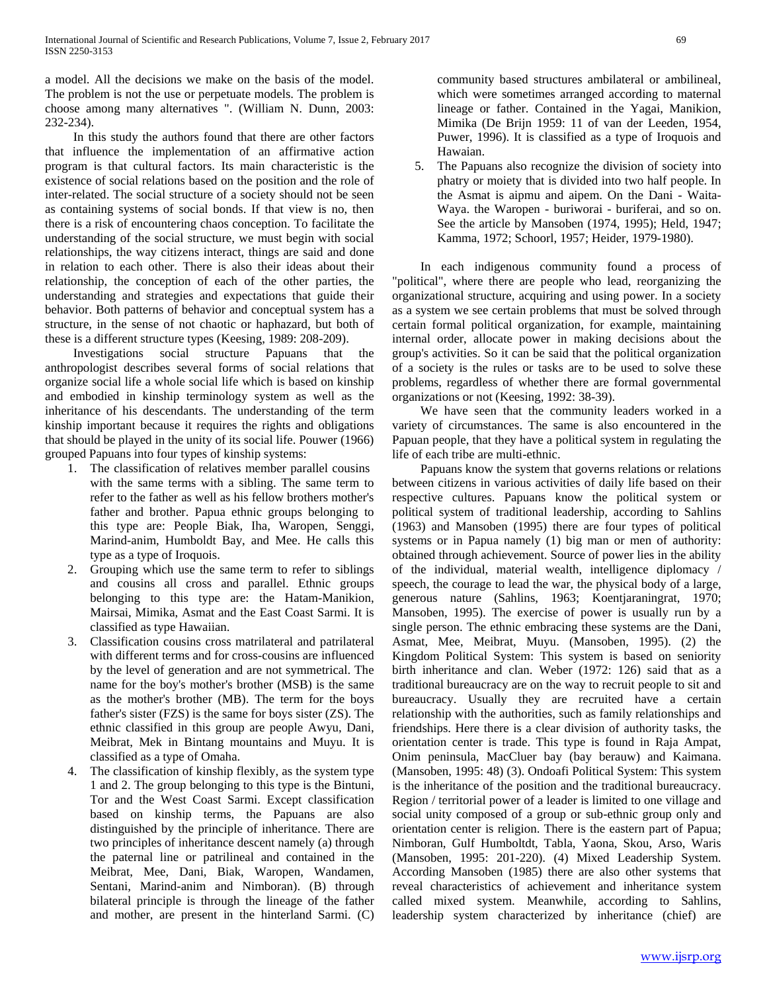a model. All the decisions we make on the basis of the model. The problem is not the use or perpetuate models. The problem is choose among many alternatives ". (William N. Dunn, 2003: 232-234).

 In this study the authors found that there are other factors that influence the implementation of an affirmative action program is that cultural factors. Its main characteristic is the existence of social relations based on the position and the role of inter-related. The social structure of a society should not be seen as containing systems of social bonds. If that view is no, then there is a risk of encountering chaos conception. To facilitate the understanding of the social structure, we must begin with social relationships, the way citizens interact, things are said and done in relation to each other. There is also their ideas about their relationship, the conception of each of the other parties, the understanding and strategies and expectations that guide their behavior. Both patterns of behavior and conceptual system has a structure, in the sense of not chaotic or haphazard, but both of these is a different structure types (Keesing, 1989: 208-209).

 Investigations social structure Papuans that the anthropologist describes several forms of social relations that organize social life a whole social life which is based on kinship and embodied in kinship terminology system as well as the inheritance of his descendants. The understanding of the term kinship important because it requires the rights and obligations that should be played in the unity of its social life. Pouwer (1966) grouped Papuans into four types of kinship systems:

- 1. The classification of relatives member parallel cousins with the same terms with a sibling. The same term to refer to the father as well as his fellow brothers mother's father and brother. Papua ethnic groups belonging to this type are: People Biak, Iha, Waropen, Senggi, Marind-anim, Humboldt Bay, and Mee. He calls this type as a type of Iroquois.
- 2. Grouping which use the same term to refer to siblings and cousins all cross and parallel. Ethnic groups belonging to this type are: the Hatam-Manikion, Mairsai, Mimika, Asmat and the East Coast Sarmi. It is classified as type Hawaiian.
- 3. Classification cousins cross matrilateral and patrilateral with different terms and for cross-cousins are influenced by the level of generation and are not symmetrical. The name for the boy's mother's brother (MSB) is the same as the mother's brother (MB). The term for the boys father's sister (FZS) is the same for boys sister (ZS). The ethnic classified in this group are people Awyu, Dani, Meibrat, Mek in Bintang mountains and Muyu. It is classified as a type of Omaha.
- 4. The classification of kinship flexibly, as the system type 1 and 2. The group belonging to this type is the Bintuni, Tor and the West Coast Sarmi. Except classification based on kinship terms, the Papuans are also distinguished by the principle of inheritance. There are two principles of inheritance descent namely (a) through the paternal line or patrilineal and contained in the Meibrat, Mee, Dani, Biak, Waropen, Wandamen, Sentani, Marind-anim and Nimboran). (B) through bilateral principle is through the lineage of the father and mother, are present in the hinterland Sarmi. (C)

community based structures ambilateral or ambilineal, which were sometimes arranged according to maternal lineage or father. Contained in the Yagai, Manikion, Mimika (De Brijn 1959: 11 of van der Leeden, 1954, Puwer, 1996). It is classified as a type of Iroquois and Hawaian.

5. The Papuans also recognize the division of society into phatry or moiety that is divided into two half people. In the Asmat is aipmu and aipem. On the Dani - Waita-Waya. the Waropen - buriworai - buriferai, and so on. See the article by Mansoben (1974, 1995); Held, 1947; Kamma, 1972; Schoorl, 1957; Heider, 1979-1980).

 In each indigenous community found a process of "political", where there are people who lead, reorganizing the organizational structure, acquiring and using power. In a society as a system we see certain problems that must be solved through certain formal political organization, for example, maintaining internal order, allocate power in making decisions about the group's activities. So it can be said that the political organization of a society is the rules or tasks are to be used to solve these problems, regardless of whether there are formal governmental organizations or not (Keesing, 1992: 38-39).

 We have seen that the community leaders worked in a variety of circumstances. The same is also encountered in the Papuan people, that they have a political system in regulating the life of each tribe are multi-ethnic.

 Papuans know the system that governs relations or relations between citizens in various activities of daily life based on their respective cultures. Papuans know the political system or political system of traditional leadership, according to Sahlins (1963) and Mansoben (1995) there are four types of political systems or in Papua namely (1) big man or men of authority: obtained through achievement. Source of power lies in the ability of the individual, material wealth, intelligence diplomacy / speech, the courage to lead the war, the physical body of a large, generous nature (Sahlins, 1963; Koentjaraningrat, 1970; Mansoben, 1995). The exercise of power is usually run by a single person. The ethnic embracing these systems are the Dani, Asmat, Mee, Meibrat, Muyu. (Mansoben, 1995). (2) the Kingdom Political System: This system is based on seniority birth inheritance and clan. Weber (1972: 126) said that as a traditional bureaucracy are on the way to recruit people to sit and bureaucracy. Usually they are recruited have a certain relationship with the authorities, such as family relationships and friendships. Here there is a clear division of authority tasks, the orientation center is trade. This type is found in Raja Ampat, Onim peninsula, MacCluer bay (bay berauw) and Kaimana. (Mansoben, 1995: 48) (3). Ondoafi Political System: This system is the inheritance of the position and the traditional bureaucracy. Region / territorial power of a leader is limited to one village and social unity composed of a group or sub-ethnic group only and orientation center is religion. There is the eastern part of Papua; Nimboran, Gulf Humboltdt, Tabla, Yaona, Skou, Arso, Waris (Mansoben, 1995: 201-220). (4) Mixed Leadership System. According Mansoben (1985) there are also other systems that reveal characteristics of achievement and inheritance system called mixed system. Meanwhile, according to Sahlins, leadership system characterized by inheritance (chief) are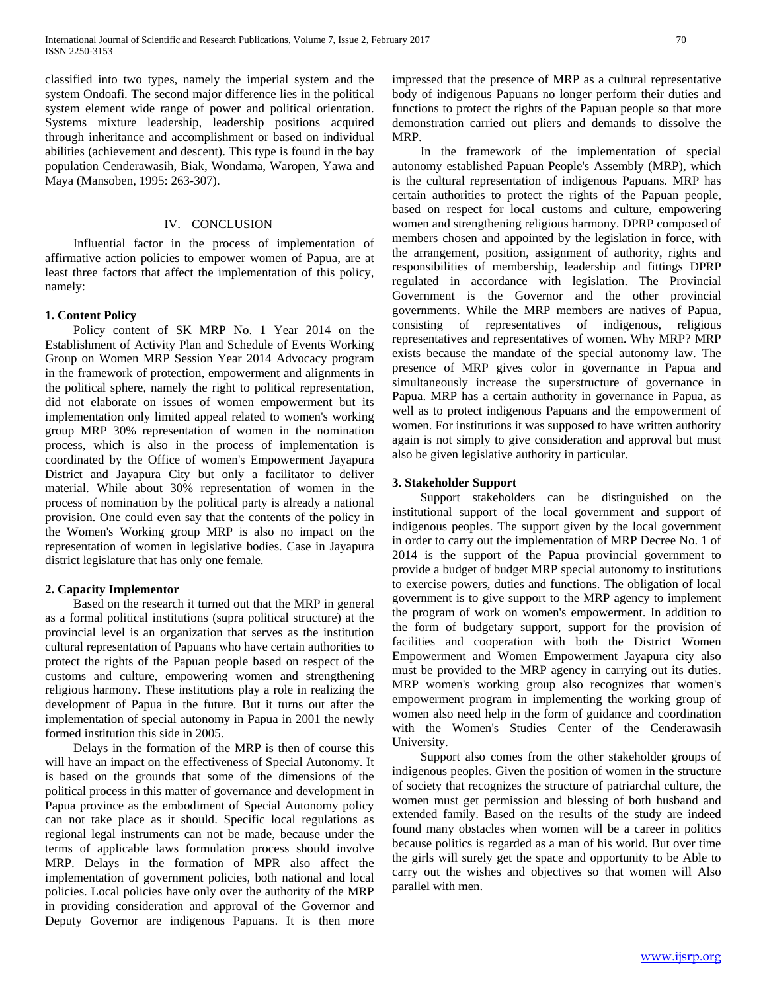classified into two types, namely the imperial system and the system Ondoafi. The second major difference lies in the political system element wide range of power and political orientation. Systems mixture leadership, leadership positions acquired through inheritance and accomplishment or based on individual abilities (achievement and descent). This type is found in the bay population Cenderawasih, Biak, Wondama, Waropen, Yawa and Maya (Mansoben, 1995: 263-307).

### IV. CONCLUSION

 Influential factor in the process of implementation of affirmative action policies to empower women of Papua, are at least three factors that affect the implementation of this policy, namely:

#### **1. Content Policy**

 Policy content of SK MRP No. 1 Year 2014 on the Establishment of Activity Plan and Schedule of Events Working Group on Women MRP Session Year 2014 Advocacy program in the framework of protection, empowerment and alignments in the political sphere, namely the right to political representation, did not elaborate on issues of women empowerment but its implementation only limited appeal related to women's working group MRP 30% representation of women in the nomination process, which is also in the process of implementation is coordinated by the Office of women's Empowerment Jayapura District and Jayapura City but only a facilitator to deliver material. While about 30% representation of women in the process of nomination by the political party is already a national provision. One could even say that the contents of the policy in the Women's Working group MRP is also no impact on the representation of women in legislative bodies. Case in Jayapura district legislature that has only one female.

#### **2. Capacity Implementor**

 Based on the research it turned out that the MRP in general as a formal political institutions (supra political structure) at the provincial level is an organization that serves as the institution cultural representation of Papuans who have certain authorities to protect the rights of the Papuan people based on respect of the customs and culture, empowering women and strengthening religious harmony. These institutions play a role in realizing the development of Papua in the future. But it turns out after the implementation of special autonomy in Papua in 2001 the newly formed institution this side in 2005.

 Delays in the formation of the MRP is then of course this will have an impact on the effectiveness of Special Autonomy. It is based on the grounds that some of the dimensions of the political process in this matter of governance and development in Papua province as the embodiment of Special Autonomy policy can not take place as it should. Specific local regulations as regional legal instruments can not be made, because under the terms of applicable laws formulation process should involve MRP. Delays in the formation of MPR also affect the implementation of government policies, both national and local policies. Local policies have only over the authority of the MRP in providing consideration and approval of the Governor and Deputy Governor are indigenous Papuans. It is then more impressed that the presence of MRP as a cultural representative body of indigenous Papuans no longer perform their duties and functions to protect the rights of the Papuan people so that more demonstration carried out pliers and demands to dissolve the MRP.

 In the framework of the implementation of special autonomy established Papuan People's Assembly (MRP), which is the cultural representation of indigenous Papuans. MRP has certain authorities to protect the rights of the Papuan people, based on respect for local customs and culture, empowering women and strengthening religious harmony. DPRP composed of members chosen and appointed by the legislation in force, with the arrangement, position, assignment of authority, rights and responsibilities of membership, leadership and fittings DPRP regulated in accordance with legislation. The Provincial Government is the Governor and the other provincial governments. While the MRP members are natives of Papua, consisting of representatives of indigenous, religious representatives and representatives of women. Why MRP? MRP exists because the mandate of the special autonomy law. The presence of MRP gives color in governance in Papua and simultaneously increase the superstructure of governance in Papua. MRP has a certain authority in governance in Papua, as well as to protect indigenous Papuans and the empowerment of women. For institutions it was supposed to have written authority again is not simply to give consideration and approval but must also be given legislative authority in particular.

### **3. Stakeholder Support**

 Support stakeholders can be distinguished on the institutional support of the local government and support of indigenous peoples. The support given by the local government in order to carry out the implementation of MRP Decree No. 1 of 2014 is the support of the Papua provincial government to provide a budget of budget MRP special autonomy to institutions to exercise powers, duties and functions. The obligation of local government is to give support to the MRP agency to implement the program of work on women's empowerment. In addition to the form of budgetary support, support for the provision of facilities and cooperation with both the District Women Empowerment and Women Empowerment Jayapura city also must be provided to the MRP agency in carrying out its duties. MRP women's working group also recognizes that women's empowerment program in implementing the working group of women also need help in the form of guidance and coordination with the Women's Studies Center of the Cenderawasih University.

 Support also comes from the other stakeholder groups of indigenous peoples. Given the position of women in the structure of society that recognizes the structure of patriarchal culture, the women must get permission and blessing of both husband and extended family. Based on the results of the study are indeed found many obstacles when women will be a career in politics because politics is regarded as a man of his world. But over time the girls will surely get the space and opportunity to be Able to carry out the wishes and objectives so that women will Also parallel with men.